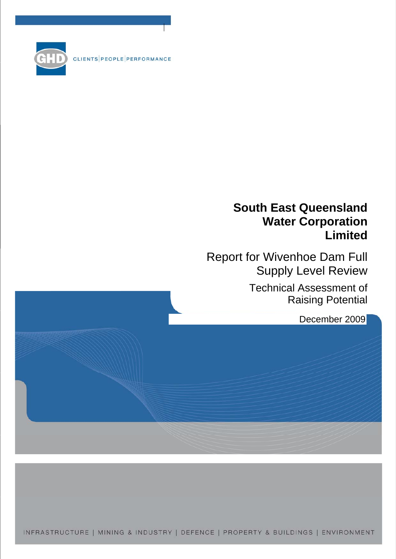CLIENTS PEOPLE PERFORMANCE



Report for Wivenhoe Dam Full Supply Level Review

> Technical Assessment of Raising Potential

> > December 2009

INFRASTRUCTURE | MINING & INDUSTRY | DEFENCE | PROPERTY & BUILDINGS | ENVIRONMENT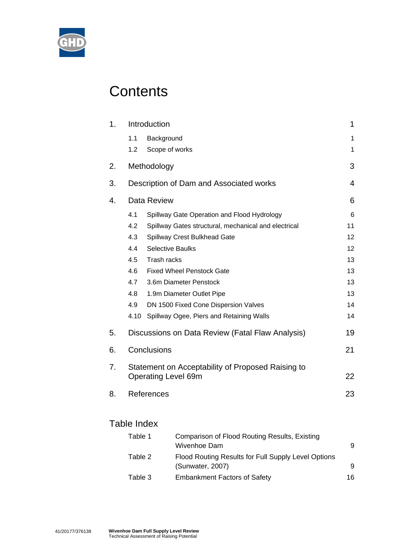

# **Contents**

| 1. |             | Introduction                                                                    | 1     |
|----|-------------|---------------------------------------------------------------------------------|-------|
|    | 1.1         | Background                                                                      | 1     |
|    | 1.2         | Scope of works                                                                  | 1     |
| 2. |             | Methodology                                                                     | 3     |
| 3. |             | Description of Dam and Associated works                                         | 4     |
| 4. |             | Data Review                                                                     | 6     |
|    | 4.1         | Spillway Gate Operation and Flood Hydrology                                     | $\,6$ |
|    | 4.2         | Spillway Gates structural, mechanical and electrical                            | 11    |
|    | 4.3         | Spillway Crest Bulkhead Gate                                                    | 12    |
|    | 4.4         | <b>Selective Baulks</b>                                                         | 12    |
|    | 4.5         | Trash racks                                                                     | 13    |
|    | 4.6         | <b>Fixed Wheel Penstock Gate</b>                                                | 13    |
|    | 4.7         | 3.6m Diameter Penstock                                                          | 13    |
|    | 4.8         | 1.9m Diameter Outlet Pipe                                                       | 13    |
|    | 4.9         | DN 1500 Fixed Cone Dispersion Valves                                            | 14    |
|    | 4.10        | Spillway Ogee, Piers and Retaining Walls                                        | 14    |
| 5. |             | Discussions on Data Review (Fatal Flaw Analysis)                                | 19    |
| 6. |             | Conclusions                                                                     | 21    |
| 7. |             | Statement on Acceptability of Proposed Raising to<br><b>Operating Level 69m</b> | 22    |
| 8. |             | References                                                                      | 23    |
|    | Table Index |                                                                                 |       |
|    |             |                                                                                 |       |

| Table 1 | Comparison of Flood Routing Results, Existing<br>Wivenhoe Dam           | 9  |
|---------|-------------------------------------------------------------------------|----|
| Table 2 | Flood Routing Results for Full Supply Level Options<br>(Sunwater, 2007) | 9  |
| Table 3 | <b>Embankment Factors of Safety</b>                                     | 16 |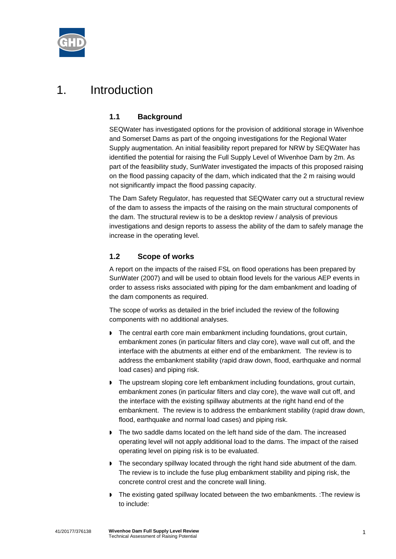

## 1. Introduction

## **1.1 Background**

SEQWater has investigated options for the provision of additional storage in Wivenhoe and Somerset Dams as part of the ongoing investigations for the Regional Water Supply augmentation. An initial feasibility report prepared for NRW by SEQWater has identified the potential for raising the Full Supply Level of Wivenhoe Dam by 2m. As part of the feasibility study, SunWater investigated the impacts of this proposed raising on the flood passing capacity of the dam, which indicated that the 2 m raising would not significantly impact the flood passing capacity.

The Dam Safety Regulator, has requested that SEQWater carry out a structural review of the dam to assess the impacts of the raising on the main structural components of the dam. The structural review is to be a desktop review / analysis of previous investigations and design reports to assess the ability of the dam to safely manage the increase in the operating level.

## **1.2 Scope of works**

A report on the impacts of the raised FSL on flood operations has been prepared by SunWater (2007) and will be used to obtain flood levels for the various AEP events in order to assess risks associated with piping for the dam embankment and loading of the dam components as required.

The scope of works as detailed in the brief included the review of the following components with no additional analyses.

- The central earth core main embankment including foundations, grout curtain, embankment zones (in particular filters and clay core), wave wall cut off, and the interface with the abutments at either end of the embankment. The review is to address the embankment stability (rapid draw down, flood, earthquake and normal load cases) and piping risk.
- The upstream sloping core left embankment including foundations, grout curtain, embankment zones (in particular filters and clay core), the wave wall cut off, and the interface with the existing spillway abutments at the right hand end of the embankment. The review is to address the embankment stability (rapid draw down, flood, earthquake and normal load cases) and piping risk.
- The two saddle dams located on the left hand side of the dam. The increased operating level will not apply additional load to the dams. The impact of the raised operating level on piping risk is to be evaluated.
- The secondary spillway located through the right hand side abutment of the dam. The review is to include the fuse plug embankment stability and piping risk, the concrete control crest and the concrete wall lining.
- ▶ The existing gated spillway located between the two embankments. :The review is to include: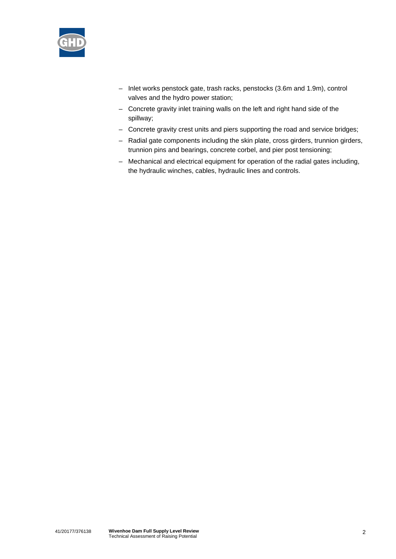

- Inlet works penstock gate, trash racks, penstocks (3.6m and 1.9m), control valves and the hydro power station;
- Concrete gravity inlet training walls on the left and right hand side of the spillway;
- Concrete gravity crest units and piers supporting the road and service bridges;
- Radial gate components including the skin plate, cross girders, trunnion girders, trunnion pins and bearings, concrete corbel, and pier post tensioning;
- Mechanical and electrical equipment for operation of the radial gates including, the hydraulic winches, cables, hydraulic lines and controls.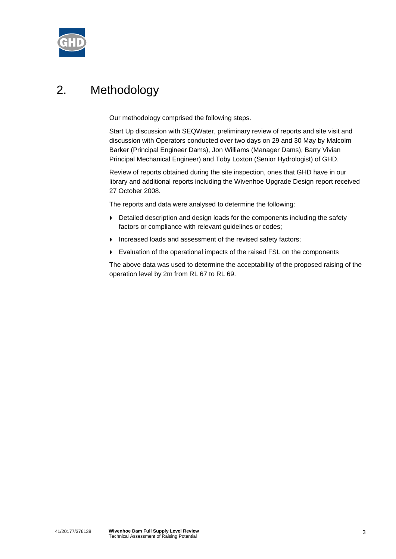

# 2. Methodology

Our methodology comprised the following steps.

Start Up discussion with SEQWater, preliminary review of reports and site visit and discussion with Operators conducted over two days on 29 and 30 May by Malcolm Barker (Principal Engineer Dams), Jon Williams (Manager Dams), Barry Vivian Principal Mechanical Engineer) and Toby Loxton (Senior Hydrologist) of GHD.

Review of reports obtained during the site inspection, ones that GHD have in our library and additional reports including the Wivenhoe Upgrade Design report received 27 October 2008.

The reports and data were analysed to determine the following:

- Detailed description and design loads for the components including the safety factors or compliance with relevant guidelines or codes;
- Increased loads and assessment of the revised safety factors;
- Evaluation of the operational impacts of the raised FSL on the components

The above data was used to determine the acceptability of the proposed raising of the operation level by 2m from RL 67 to RL 69.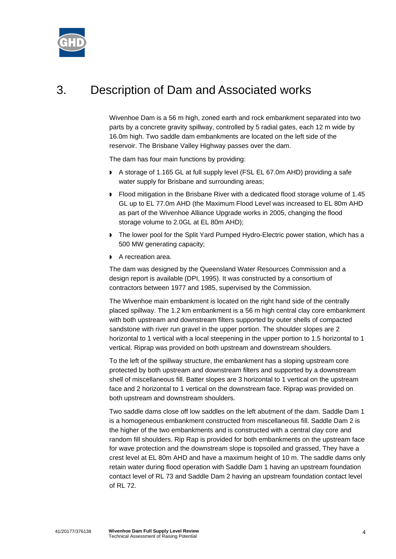

# 3. Description of Dam and Associated works

Wivenhoe Dam is a 56 m high, zoned earth and rock embankment separated into two parts by a concrete gravity spillway, controlled by 5 radial gates, each 12 m wide by 16.0m high. Two saddle dam embankments are located on the left side of the reservoir. The Brisbane Valley Highway passes over the dam.

The dam has four main functions by providing:

- A storage of 1.165 GL at full supply level (FSL EL 67.0m AHD) providing a safe water supply for Brisbane and surrounding areas;
- Flood mitigation in the Brisbane River with a dedicated flood storage volume of 1.45 GL up to EL 77.0m AHD (the Maximum Flood Level was increased to EL 80m AHD as part of the Wivenhoe Alliance Upgrade works in 2005, changing the flood storage volume to 2.0GL at EL 80m AHD);
- The lower pool for the Split Yard Pumped Hydro-Electric power station, which has a 500 MW generating capacity;
- A recreation area.

The dam was designed by the Queensland Water Resources Commission and a design report is available (DPI, 1995). It was constructed by a consortium of contractors between 1977 and 1985, supervised by the Commission.

The Wivenhoe main embankment is located on the right hand side of the centrally placed spillway. The 1.2 km embankment is a 56 m high central clay core embankment with both upstream and downstream filters supported by outer shells of compacted sandstone with river run gravel in the upper portion. The shoulder slopes are 2 horizontal to 1 vertical with a local steepening in the upper portion to 1.5 horizontal to 1 vertical. Riprap was provided on both upstream and downstream shoulders.

To the left of the spillway structure, the embankment has a sloping upstream core protected by both upstream and downstream filters and supported by a downstream shell of miscellaneous fill. Batter slopes are 3 horizontal to 1 vertical on the upstream face and 2 horizontal to 1 vertical on the downstream face. Riprap was provided on both upstream and downstream shoulders.

Two saddle dams close off low saddles on the left abutment of the dam. Saddle Dam 1 is a homogeneous embankment constructed from miscellaneous fill. Saddle Dam 2 is the higher of the two embankments and is constructed with a central clay core and random fill shoulders. Rip Rap is provided for both embankments on the upstream face for wave protection and the downstream slope is topsoiled and grassed, They have a crest level at EL 80m AHD and have a maximum height of 10 m. The saddle dams only retain water during flood operation with Saddle Dam 1 having an upstream foundation contact level of RL 73 and Saddle Dam 2 having an upstream foundation contact level of RL 72.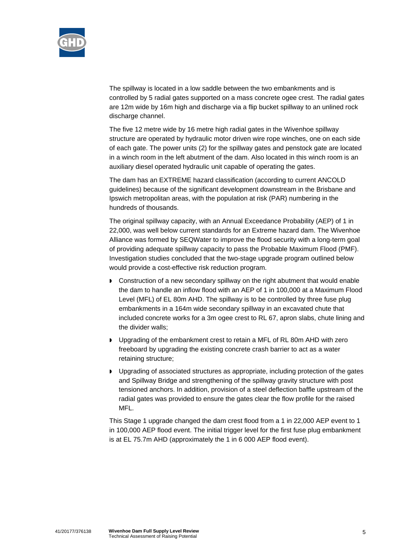

The spillway is located in a low saddle between the two embankments and is controlled by 5 radial gates supported on a mass concrete ogee crest. The radial gates are 12m wide by 16m high and discharge via a flip bucket spillway to an unlined rock discharge channel.

The five 12 metre wide by 16 metre high radial gates in the Wivenhoe spillway structure are operated by hydraulic motor driven wire rope winches, one on each side of each gate. The power units (2) for the spillway gates and penstock gate are located in a winch room in the left abutment of the dam. Also located in this winch room is an auxiliary diesel operated hydraulic unit capable of operating the gates.

The dam has an EXTREME hazard classification (according to current ANCOLD guidelines) because of the significant development downstream in the Brisbane and Ipswich metropolitan areas, with the population at risk (PAR) numbering in the hundreds of thousands.

The original spillway capacity, with an Annual Exceedance Probability (AEP) of 1 in 22,000, was well below current standards for an Extreme hazard dam. The Wivenhoe Alliance was formed by SEQWater to improve the flood security with a long-term goal of providing adequate spillway capacity to pass the Probable Maximum Flood (PMF). Investigation studies concluded that the two-stage upgrade program outlined below would provide a cost-effective risk reduction program.

- Construction of a new secondary spillway on the right abutment that would enable the dam to handle an inflow flood with an AEP of 1 in 100,000 at a Maximum Flood Level (MFL) of EL 80m AHD. The spillway is to be controlled by three fuse plug embankments in a 164m wide secondary spillway in an excavated chute that included concrete works for a 3m ogee crest to RL 67, apron slabs, chute lining and the divider walls;
- **Deparating of the embankment crest to retain a MFL of RL 80m AHD with zero** freeboard by upgrading the existing concrete crash barrier to act as a water retaining structure;
- Upgrading of associated structures as appropriate, including protection of the gates and Spillway Bridge and strengthening of the spillway gravity structure with post tensioned anchors. In addition, provision of a steel deflection baffle upstream of the radial gates was provided to ensure the gates clear the flow profile for the raised MFL.

This Stage 1 upgrade changed the dam crest flood from a 1 in 22,000 AEP event to 1 in 100,000 AEP flood event. The initial trigger level for the first fuse plug embankment is at EL 75.7m AHD (approximately the 1 in 6 000 AEP flood event).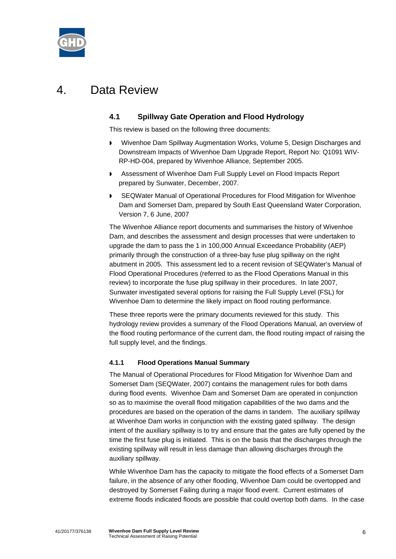

## 4. Data Review

## **4.1 Spillway Gate Operation and Flood Hydrology**

This review is based on the following three documents:

- Wivenhoe Dam Spillway Augmentation Works, Volume 5, Design Discharges and Downstream Impacts of Wivenhoe Dam Upgrade Report, Report No: Q1091 WIV-RP-HD-004, prepared by Wivenhoe Alliance, September 2005.
- **Assessment of Wivenhoe Dam Full Supply Level on Flood Impacts Report** prepared by Sunwater, December, 2007.
- SEQWater Manual of Operational Procedures for Flood Mitigation for Wivenhoe Dam and Somerset Dam, prepared by South East Queensland Water Corporation, Version 7, 6 June, 2007

The Wivenhoe Alliance report documents and summarises the history of Wivenhoe Dam, and describes the assessment and design processes that were undertaken to upgrade the dam to pass the 1 in 100,000 Annual Exceedance Probability (AEP) primarily through the construction of a three-bay fuse plug spillway on the right abutment in 2005. This assessment led to a recent revision of SEQWater's Manual of Flood Operational Procedures (referred to as the Flood Operations Manual in this review) to incorporate the fuse plug spillway in their procedures. In late 2007, Sunwater investigated several options for raising the Full Supply Level (FSL) for Wivenhoe Dam to determine the likely impact on flood routing performance.

These three reports were the primary documents reviewed for this study. This hydrology review provides a summary of the Flood Operations Manual, an overview of the flood routing performance of the current dam, the flood routing impact of raising the full supply level, and the findings.

#### **4.1.1 Flood Operations Manual Summary**

The Manual of Operational Procedures for Flood Mitigation for Wivenhoe Dam and Somerset Dam (SEQWater, 2007) contains the management rules for both dams during flood events. Wivenhoe Dam and Somerset Dam are operated in conjunction so as to maximise the overall flood mitigation capabilities of the two dams and the procedures are based on the operation of the dams in tandem. The auxiliary spillway at Wivenhoe Dam works in conjunction with the existing gated spillway. The design intent of the auxiliary spillway is to try and ensure that the gates are fully opened by the time the first fuse plug is initiated. This is on the basis that the discharges through the existing spillway will result in less damage than allowing discharges through the auxiliary spillway.

While Wivenhoe Dam has the capacity to mitigate the flood effects of a Somerset Dam failure, in the absence of any other flooding, Wivenhoe Dam could be overtopped and destroyed by Somerset Failing during a major flood event. Current estimates of extreme floods indicated floods are possible that could overtop both dams. In the case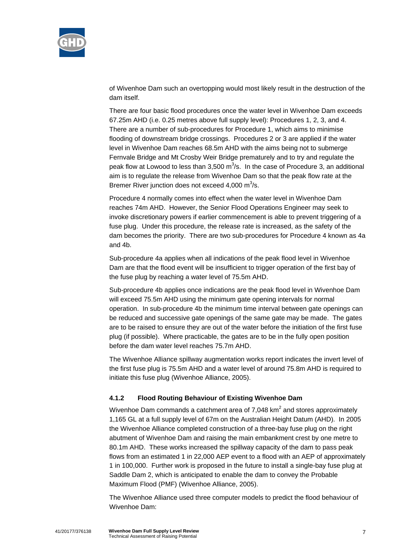

of Wivenhoe Dam such an overtopping would most likely result in the destruction of the dam itself.

There are four basic flood procedures once the water level in Wivenhoe Dam exceeds 67.25m AHD (i.e. 0.25 metres above full supply level): Procedures 1, 2, 3, and 4. There are a number of sub-procedures for Procedure 1, which aims to minimise flooding of downstream bridge crossings. Procedures 2 or 3 are applied if the water level in Wivenhoe Dam reaches 68.5m AHD with the aims being not to submerge Fernvale Bridge and Mt Crosby Weir Bridge prematurely and to try and regulate the peak flow at Lowood to less than 3,500  $m^3/s$ . In the case of Procedure 3, an additional aim is to regulate the release from Wivenhoe Dam so that the peak flow rate at the Bremer River junction does not exceed 4,000  $\text{m}^3\text{/s}$ .

Procedure 4 normally comes into effect when the water level in Wivenhoe Dam reaches 74m AHD. However, the Senior Flood Operations Engineer may seek to invoke discretionary powers if earlier commencement is able to prevent triggering of a fuse plug. Under this procedure, the release rate is increased, as the safety of the dam becomes the priority. There are two sub-procedures for Procedure 4 known as 4a and 4b.

Sub-procedure 4a applies when all indications of the peak flood level in Wivenhoe Dam are that the flood event will be insufficient to trigger operation of the first bay of the fuse plug by reaching a water level of 75.5m AHD.

Sub-procedure 4b applies once indications are the peak flood level in Wivenhoe Dam will exceed 75.5m AHD using the minimum gate opening intervals for normal operation. In sub-procedure 4b the minimum time interval between gate openings can be reduced and successive gate openings of the same gate may be made. The gates are to be raised to ensure they are out of the water before the initiation of the first fuse plug (if possible). Where practicable, the gates are to be in the fully open position before the dam water level reaches 75.7m AHD.

The Wivenhoe Alliance spillway augmentation works report indicates the invert level of the first fuse plug is 75.5m AHD and a water level of around 75.8m AHD is required to initiate this fuse plug (Wivenhoe Alliance, 2005).

## **4.1.2 Flood Routing Behaviour of Existing Wivenhoe Dam**

Wivenhoe Dam commands a catchment area of 7,048 km<sup>2</sup> and stores approximately 1,165 GL at a full supply level of 67m on the Australian Height Datum (AHD). In 2005 the Wivenhoe Alliance completed construction of a three-bay fuse plug on the right abutment of Wivenhoe Dam and raising the main embankment crest by one metre to 80.1m AHD. These works increased the spillway capacity of the dam to pass peak flows from an estimated 1 in 22,000 AEP event to a flood with an AEP of approximately 1 in 100,000. Further work is proposed in the future to install a single-bay fuse plug at Saddle Dam 2, which is anticipated to enable the dam to convey the Probable Maximum Flood (PMF) (Wivenhoe Alliance, 2005).

The Wivenhoe Alliance used three computer models to predict the flood behaviour of Wivenhoe Dam: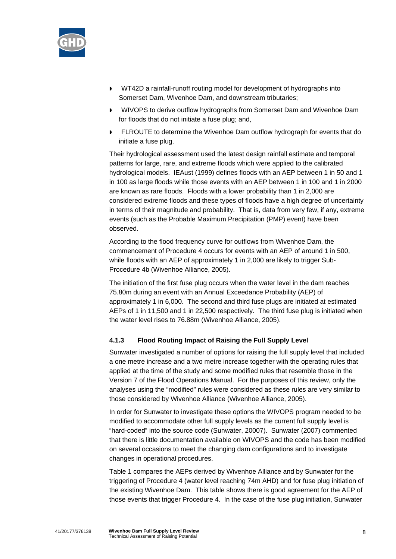

- WT42D a rainfall-runoff routing model for development of hydrographs into Somerset Dam, Wivenhoe Dam, and downstream tributaries;
- WIVOPS to derive outflow hydrographs from Somerset Dam and Wivenhoe Dam for floods that do not initiate a fuse plug; and,
- FLROUTE to determine the Wivenhoe Dam outflow hydrograph for events that do initiate a fuse plug.

Their hydrological assessment used the latest design rainfall estimate and temporal patterns for large, rare, and extreme floods which were applied to the calibrated hydrological models. IEAust (1999) defines floods with an AEP between 1 in 50 and 1 in 100 as large floods while those events with an AEP between 1 in 100 and 1 in 2000 are known as rare floods. Floods with a lower probability than 1 in 2,000 are considered extreme floods and these types of floods have a high degree of uncertainty in terms of their magnitude and probability. That is, data from very few, if any, extreme events (such as the Probable Maximum Precipitation (PMP) event) have been observed.

According to the flood frequency curve for outflows from Wivenhoe Dam, the commencement of Procedure 4 occurs for events with an AEP of around 1 in 500, while floods with an AEP of approximately 1 in 2,000 are likely to trigger Sub-Procedure 4b (Wivenhoe Alliance, 2005).

The initiation of the first fuse plug occurs when the water level in the dam reaches 75.80m during an event with an Annual Exceedance Probability (AEP) of approximately 1 in 6,000. The second and third fuse plugs are initiated at estimated AEPs of 1 in 11,500 and 1 in 22,500 respectively. The third fuse plug is initiated when the water level rises to 76.88m (Wivenhoe Alliance, 2005).

## **4.1.3 Flood Routing Impact of Raising the Full Supply Level**

Sunwater investigated a number of options for raising the full supply level that included a one metre increase and a two metre increase together with the operating rules that applied at the time of the study and some modified rules that resemble those in the Version 7 of the Flood Operations Manual. For the purposes of this review, only the analyses using the "modified" rules were considered as these rules are very similar to those considered by Wivenhoe Alliance (Wivenhoe Alliance, 2005).

In order for Sunwater to investigate these options the WIVOPS program needed to be modified to accommodate other full supply levels as the current full supply level is "hard-coded" into the source code (Sunwater, 20007). Sunwater (2007) commented that there is little documentation available on WIVOPS and the code has been modified on several occasions to meet the changing dam configurations and to investigate changes in operational procedures.

Table 1 compares the AEPs derived by Wivenhoe Alliance and by Sunwater for the triggering of Procedure 4 (water level reaching 74m AHD) and for fuse plug initiation of the existing Wivenhoe Dam. This table shows there is good agreement for the AEP of those events that trigger Procedure 4. In the case of the fuse plug initiation, Sunwater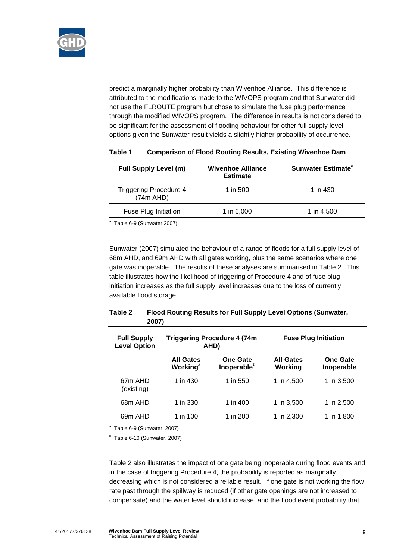

predict a marginally higher probability than Wivenhoe Alliance. This difference is attributed to the modifications made to the WIVOPS program and that Sunwater did not use the FLROUTE program but chose to simulate the fuse plug performance through the modified WIVOPS program. The difference in results is not considered to be significant for the assessment of flooding behaviour for other full supply level options given the Sunwater result yields a slightly higher probability of occurrence.

| <b>Full Supply Level (m)</b>               | <b>Wivenhoe Alliance</b><br><b>Estimate</b> | Sunwater Estimate <sup>a</sup> |
|--------------------------------------------|---------------------------------------------|--------------------------------|
| <b>Triggering Procedure 4</b><br>(74m AHD) | 1 in 500                                    | 1 in 430                       |
| Fuse Plug Initiation                       | 1 in 6,000                                  | 1 in 4,500                     |
|                                            |                                             |                                |

### **Table 1 Comparison of Flood Routing Results, Existing Wivenhoe Dam**

 $a$ : Table 6-9 (Sunwater 2007)

Sunwater (2007) simulated the behaviour of a range of floods for a full supply level of 68m AHD, and 69m AHD with all gates working, plus the same scenarios where one gate was inoperable. The results of these analyses are summarised in Table 2. This table illustrates how the likelihood of triggering of Procedure 4 and of fuse plug initiation increases as the full supply level increases due to the loss of currently available flood storage.

### **Table 2 Flood Routing Results for Full Supply Level Options (Sunwater, 2007)**

| <b>Full Supply</b><br><b>Level Option</b> | <b>Triggering Procedure 4 (74m</b><br>AHD)      |                                            | <b>Fuse Plug Initiation</b> |                               |  |
|-------------------------------------------|-------------------------------------------------|--------------------------------------------|-----------------------------|-------------------------------|--|
|                                           | <b>All Gates</b><br><b>Working</b> <sup>a</sup> | <b>One Gate</b><br>Inoperable <sup>b</sup> | <b>All Gates</b><br>Working | <b>One Gate</b><br>Inoperable |  |
| 67 <sub>m</sub> AHD<br>(existing)         | 1 in 430                                        | 1 in 550                                   | 1 in 4,500                  | 1 in 3,500                    |  |
| 68m AHD                                   | 1 in 330                                        | 1 in 400                                   | 1 in 3,500                  | 1 in 2,500                    |  |
| 69m AHD                                   | 1 in 100                                        | 1 in 200                                   | 1 in 2,300                  | 1 in 1,800                    |  |

<sup>a</sup>: Table 6-9 (Sunwater, 2007)

<sup>b</sup>: Table 6-10 (Sunwater, 2007)

Table 2 also illustrates the impact of one gate being inoperable during flood events and in the case of triggering Procedure 4, the probability is reported as marginally decreasing which is not considered a reliable result. If one gate is not working the flow rate past through the spillway is reduced (if other gate openings are not increased to compensate) and the water level should increase, and the flood event probability that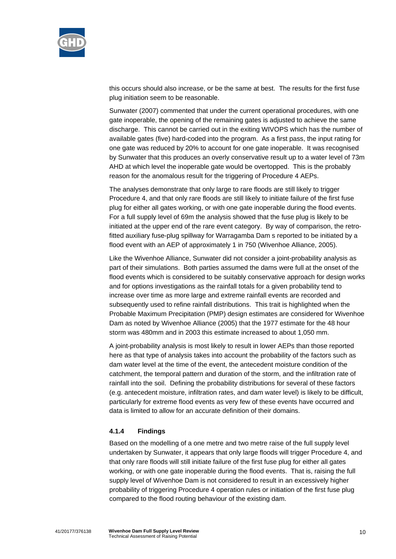

this occurs should also increase, or be the same at best. The results for the first fuse plug initiation seem to be reasonable.

Sunwater (2007) commented that under the current operational procedures, with one gate inoperable, the opening of the remaining gates is adjusted to achieve the same discharge. This cannot be carried out in the exiting WIVOPS which has the number of available gates (five) hard-coded into the program. As a first pass, the input rating for one gate was reduced by 20% to account for one gate inoperable. It was recognised by Sunwater that this produces an overly conservative result up to a water level of 73m AHD at which level the inoperable gate would be overtopped. This is the probably reason for the anomalous result for the triggering of Procedure 4 AEPs.

The analyses demonstrate that only large to rare floods are still likely to trigger Procedure 4, and that only rare floods are still likely to initiate failure of the first fuse plug for either all gates working, or with one gate inoperable during the flood events. For a full supply level of 69m the analysis showed that the fuse plug is likely to be initiated at the upper end of the rare event category. By way of comparison, the retrofitted auxiliary fuse-plug spillway for Warragamba Dam s reported to be initiated by a flood event with an AEP of approximately 1 in 750 (Wivenhoe Alliance, 2005).

Like the Wivenhoe Alliance, Sunwater did not consider a joint-probability analysis as part of their simulations. Both parties assumed the dams were full at the onset of the flood events which is considered to be suitably conservative approach for design works and for options investigations as the rainfall totals for a given probability tend to increase over time as more large and extreme rainfall events are recorded and subsequently used to refine rainfall distributions. This trait is highlighted when the Probable Maximum Precipitation (PMP) design estimates are considered for Wivenhoe Dam as noted by Wivenhoe Alliance (2005) that the 1977 estimate for the 48 hour storm was 480mm and in 2003 this estimate increased to about 1,050 mm.

A joint-probability analysis is most likely to result in lower AEPs than those reported here as that type of analysis takes into account the probability of the factors such as dam water level at the time of the event, the antecedent moisture condition of the catchment, the temporal pattern and duration of the storm, and the infiltration rate of rainfall into the soil. Defining the probability distributions for several of these factors (e.g. antecedent moisture, infiltration rates, and dam water level) is likely to be difficult, particularly for extreme flood events as very few of these events have occurred and data is limited to allow for an accurate definition of their domains.

#### **4.1.4 Findings**

Based on the modelling of a one metre and two metre raise of the full supply level undertaken by Sunwater, it appears that only large floods will trigger Procedure 4, and that only rare floods will still initiate failure of the first fuse plug for either all gates working, or with one gate inoperable during the flood events. That is, raising the full supply level of Wivenhoe Dam is not considered to result in an excessively higher probability of triggering Procedure 4 operation rules or initiation of the first fuse plug compared to the flood routing behaviour of the existing dam.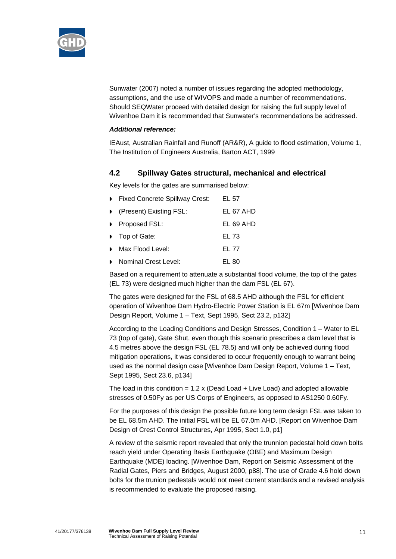

Sunwater (2007) noted a number of issues regarding the adopted methodology, assumptions, and the use of WIVOPS and made a number of recommendations. Should SEQWater proceed with detailed design for raising the full supply level of Wivenhoe Dam it is recommended that Sunwater's recommendations be addressed.

#### *Additional reference:*

IEAust, Australian Rainfall and Runoff (AR&R), A guide to flood estimation, Volume 1, The Institution of Engineers Australia, Barton ACT, 1999

## **4.2 Spillway Gates structural, mechanical and electrical**

Key levels for the gates are summarised below:

| Fixed Concrete Spillway Crest: | EL 57     |
|--------------------------------|-----------|
| (Present) Existing FSL:        | EL 67 AHD |
| Proposed FSL:                  | EL 69 AHD |
| Top of Gate:                   | EL 73     |
| Max Flood Level:               | EL 77     |
| Nominal Crest Level:           | EL 80     |
|                                |           |

Based on a requirement to attenuate a substantial flood volume, the top of the gates (EL 73) were designed much higher than the dam FSL (EL 67).

The gates were designed for the FSL of 68.5 AHD although the FSL for efficient operation of Wivenhoe Dam Hydro-Electric Power Station is EL 67m [Wivenhoe Dam Design Report, Volume 1 – Text, Sept 1995, Sect 23.2, p132]

According to the Loading Conditions and Design Stresses, Condition 1 – Water to EL 73 (top of gate), Gate Shut, even though this scenario prescribes a dam level that is 4.5 metres above the design FSL (EL 78.5) and will only be achieved during flood mitigation operations, it was considered to occur frequently enough to warrant being used as the normal design case [Wivenhoe Dam Design Report, Volume 1 – Text, Sept 1995, Sect 23.6, p134]

The load in this condition =  $1.2 \times$  (Dead Load + Live Load) and adopted allowable stresses of 0.50Fy as per US Corps of Engineers, as opposed to AS1250 0.60Fy.

For the purposes of this design the possible future long term design FSL was taken to be EL 68.5m AHD. The initial FSL will be EL 67.0m AHD. [Report on Wivenhoe Dam Design of Crest Control Structures, Apr 1995, Sect 1.0, p1]

A review of the seismic report revealed that only the trunnion pedestal hold down bolts reach yield under Operating Basis Earthquake (OBE) and Maximum Design Earthquake (MDE) loading. [Wivenhoe Dam, Report on Seismic Assessment of the Radial Gates, Piers and Bridges, August 2000, p88]. The use of Grade 4.6 hold down bolts for the trunion pedestals would not meet current standards and a revised analysis is recommended to evaluate the proposed raising.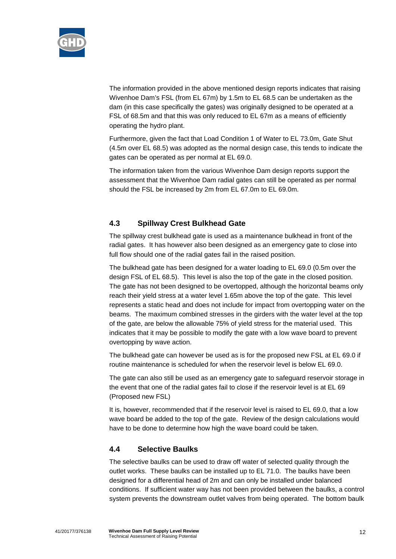

The information provided in the above mentioned design reports indicates that raising Wivenhoe Dam's FSL (from EL 67m) by 1.5m to EL 68.5 can be undertaken as the dam (in this case specifically the gates) was originally designed to be operated at a FSL of 68.5m and that this was only reduced to EL 67m as a means of efficiently operating the hydro plant.

Furthermore, given the fact that Load Condition 1 of Water to EL 73.0m, Gate Shut (4.5m over EL 68.5) was adopted as the normal design case, this tends to indicate the gates can be operated as per normal at EL 69.0.

The information taken from the various Wivenhoe Dam design reports support the assessment that the Wivenhoe Dam radial gates can still be operated as per normal should the FSL be increased by 2m from EL 67.0m to EL 69.0m.

## **4.3 Spillway Crest Bulkhead Gate**

The spillway crest bulkhead gate is used as a maintenance bulkhead in front of the radial gates. It has however also been designed as an emergency gate to close into full flow should one of the radial gates fail in the raised position.

The bulkhead gate has been designed for a water loading to EL 69.0 (0.5m over the design FSL of EL 68.5). This level is also the top of the gate in the closed position. The gate has not been designed to be overtopped, although the horizontal beams only reach their yield stress at a water level 1.65m above the top of the gate. This level represents a static head and does not include for impact from overtopping water on the beams. The maximum combined stresses in the girders with the water level at the top of the gate, are below the allowable 75% of yield stress for the material used. This indicates that it may be possible to modify the gate with a low wave board to prevent overtopping by wave action.

The bulkhead gate can however be used as is for the proposed new FSL at EL 69.0 if routine maintenance is scheduled for when the reservoir level is below EL 69.0.

The gate can also still be used as an emergency gate to safeguard reservoir storage in the event that one of the radial gates fail to close if the reservoir level is at EL 69 (Proposed new FSL)

It is, however, recommended that if the reservoir level is raised to EL 69.0, that a low wave board be added to the top of the gate. Review of the design calculations would have to be done to determine how high the wave board could be taken.

#### **4.4 Selective Baulks**

The selective baulks can be used to draw off water of selected quality through the outlet works. These baulks can be installed up to EL 71.0. The baulks have been designed for a differential head of 2m and can only be installed under balanced conditions. If sufficient water way has not been provided between the baulks, a control system prevents the downstream outlet valves from being operated. The bottom baulk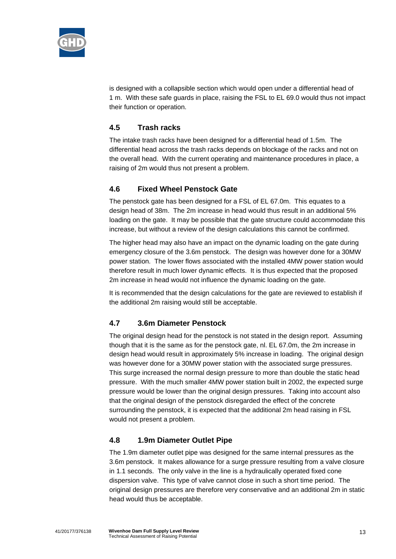

is designed with a collapsible section which would open under a differential head of 1 m. With these safe guards in place, raising the FSL to EL 69.0 would thus not impact their function or operation.

## **4.5 Trash racks**

The intake trash racks have been designed for a differential head of 1.5m. The differential head across the trash racks depends on blockage of the racks and not on the overall head. With the current operating and maintenance procedures in place, a raising of 2m would thus not present a problem.

## **4.6 Fixed Wheel Penstock Gate**

The penstock gate has been designed for a FSL of EL 67.0m. This equates to a design head of 38m. The 2m increase in head would thus result in an additional 5% loading on the gate. It may be possible that the gate structure could accommodate this increase, but without a review of the design calculations this cannot be confirmed.

The higher head may also have an impact on the dynamic loading on the gate during emergency closure of the 3.6m penstock. The design was however done for a 30MW power station. The lower flows associated with the installed 4MW power station would therefore result in much lower dynamic effects. It is thus expected that the proposed 2m increase in head would not influence the dynamic loading on the gate.

It is recommended that the design calculations for the gate are reviewed to establish if the additional 2m raising would still be acceptable.

## **4.7 3.6m Diameter Penstock**

The original design head for the penstock is not stated in the design report. Assuming though that it is the same as for the penstock gate, nl. EL 67.0m, the 2m increase in design head would result in approximately 5% increase in loading. The original design was however done for a 30MW power station with the associated surge pressures. This surge increased the normal design pressure to more than double the static head pressure. With the much smaller 4MW power station built in 2002, the expected surge pressure would be lower than the original design pressures. Taking into account also that the original design of the penstock disregarded the effect of the concrete surrounding the penstock, it is expected that the additional 2m head raising in FSL would not present a problem.

## **4.8 1.9m Diameter Outlet Pipe**

The 1.9m diameter outlet pipe was designed for the same internal pressures as the 3.6m penstock. It makes allowance for a surge pressure resulting from a valve closure in 1.1 seconds. The only valve in the line is a hydraulically operated fixed cone dispersion valve. This type of valve cannot close in such a short time period. The original design pressures are therefore very conservative and an additional 2m in static head would thus be acceptable.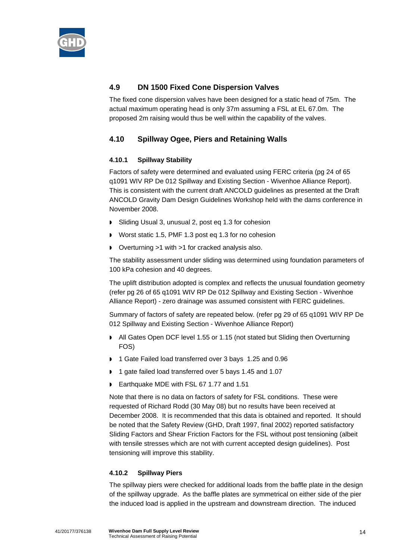

## **4.9 DN 1500 Fixed Cone Dispersion Valves**

The fixed cone dispersion valves have been designed for a static head of 75m. The actual maximum operating head is only 37m assuming a FSL at EL 67.0m. The proposed 2m raising would thus be well within the capability of the valves.

## **4.10 Spillway Ogee, Piers and Retaining Walls**

## **4.10.1 Spillway Stability**

Factors of safety were determined and evaluated using FERC criteria (pg 24 of 65 q1091 WIV RP De 012 Spillway and Existing Section - Wivenhoe Alliance Report). This is consistent with the current draft ANCOLD guidelines as presented at the Draft ANCOLD Gravity Dam Design Guidelines Workshop held with the dams conference in November 2008.

- Sliding Usual 3, unusual 2, post eq 1.3 for cohesion
- Worst static 1.5, PMF 1.3 post eq 1.3 for no cohesion
- Overturning >1 with >1 for cracked analysis also.

The stability assessment under sliding was determined using foundation parameters of 100 kPa cohesion and 40 degrees.

The uplift distribution adopted is complex and reflects the unusual foundation geometry (refer pg 26 of 65 q1091 WIV RP De 012 Spillway and Existing Section - Wivenhoe Alliance Report) - zero drainage was assumed consistent with FERC guidelines.

Summary of factors of safety are repeated below. (refer pg 29 of 65 q1091 WIV RP De 012 Spillway and Existing Section - Wivenhoe Alliance Report)

- All Gates Open DCF level 1.55 or 1.15 (not stated but Sliding then Overturning FOS)
- 1 Gate Failed load transferred over 3 bays 1.25 and 0.96
- 1 gate failed load transferred over 5 bays 1.45 and 1.07
- Earthquake MDE with FSL 67 1.77 and 1.51

Note that there is no data on factors of safety for FSL conditions. These were requested of Richard Rodd (30 May 08) but no results have been received at December 2008. It is recommended that this data is obtained and reported. It should be noted that the Safety Review (GHD, Draft 1997, final 2002) reported satisfactory Sliding Factors and Shear Friction Factors for the FSL without post tensioning (albeit with tensile stresses which are not with current accepted design guidelines). Post tensioning will improve this stability.

## **4.10.2 Spillway Piers**

The spillway piers were checked for additional loads from the baffle plate in the design of the spillway upgrade. As the baffle plates are symmetrical on either side of the pier the induced load is applied in the upstream and downstream direction. The induced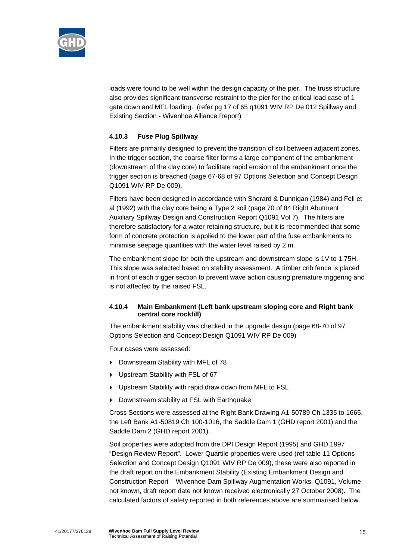

loads were found to be well within the design capacity of the pier. The truss structure also provides significant transverse restraint to the pier for the critical load case of 1 gate down and MFL loading. (refer pg 17 of 65 q1091 WIV RP De 012 Spillway and Existing Section - Wivenhoe Alliance Report)

### **4.10.3 Fuse Plug Spillway**

Filters are primarily designed to prevent the transition of soil between adjacent zones. In the trigger section, the coarse filter forms a large component of the embankment (downstream of the clay core) to facilitate rapid erosion of the embankment once the trigger section is breached (page 67-68 of 97 Options Selection and Concept Design Q1091 WIV RP De 009).

Filters have been designed in accordance with Sherard & Dunnigan (1984) and Fell et al (1992) with the clay core being a Type 2 soil (page 70 of 84 Right Abutment Auxiliary Spillway Design and Construction Report Q1091 Vol 7). The filters are therefore satisfactory for a water retaining structure, but it is recommended that some form of concrete protection is applied to the lower part of the fuse embankments to minimise seepage quantities with the water level raised by 2 m..

The embankment slope for both the upstream and downstream slope is 1V to 1.75H. This slope was selected based on stability assessment. A timber crib fence is placed in front of each trigger section to prevent wave action causing premature triggering and is not affected by the raised FSL.

#### **4.10.4 Main Embankment (Left bank upstream sloping core and Right bank central core rockfill)**

The embankment stability was checked in the upgrade design (page 68-70 of 97 Options Selection and Concept Design Q1091 WIV RP De 009)

Four cases were assessed:

- Downstream Stability with MFL of 78
- **D** Upstream Stability with FSL of 67
- Upstream Stability with rapid draw down from MFL to FSL
- Downstream stability at FSL with Earthquake

Cross Sections were assessed at the Right Bank Drawing A1-50789 Ch 1335 to 1665, the Left Bank A1-50819 Ch 100-1016, the Saddle Dam 1 (GHD report 2001) and the Saddle Dam 2 (GHD report 2001).

Soil properties were adopted from the DPI Design Report (1995) and GHD 1997 "Design Review Report". Lower Quartile properties were used (ref table 11 Options Selection and Concept Design Q1091 WIV RP De 009), these were also reported in the draft report on the Embankment Stability (Existing Embankment Design and Construction Report – Wivenhoe Dam Spillway Augmentation Works, Q1091, Volume not known, draft report date not known received electronically 27 October 2008). The calculated factors of safety reported in both references above are summarised below.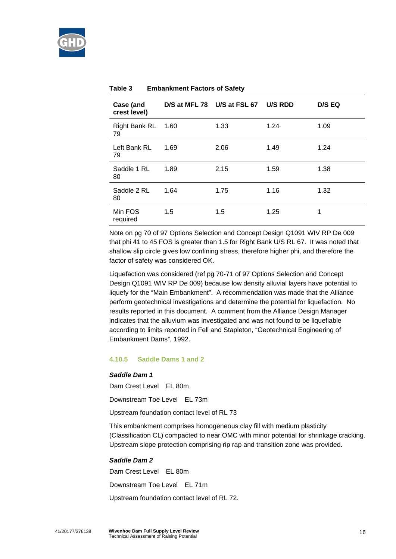

| Case (and<br>crest level) |        | D/S at MFL 78 U/S at FSL 67 | U/S RDD | <b>D/S EQ</b> |
|---------------------------|--------|-----------------------------|---------|---------------|
| Right Bank RL<br>79       | - 1.60 | 1.33                        | 1.24    | 1.09          |
| Left Bank RL<br>79        | 1.69   | 2.06                        | 1.49    | 1.24          |
| Saddle 1 RL<br>80         | 1.89   | 2.15                        | 1.59    | 1.38          |
| Saddle 2 RL<br>80         | 1.64   | 1.75                        | 1.16    | 1.32          |
| Min FOS<br>required       | 1.5    | 1.5                         | 1.25    | 1             |

#### **Table 3 Embankment Factors of Safety**

Note on pg 70 of 97 Options Selection and Concept Design Q1091 WIV RP De 009 that phi 41 to 45 FOS is greater than 1.5 for Right Bank U/S RL 67. It was noted that shallow slip circle gives low confining stress, therefore higher phi, and therefore the factor of safety was considered OK.

Liquefaction was considered (ref pg 70-71 of 97 Options Selection and Concept Design Q1091 WIV RP De 009) because low density alluvial layers have potential to liquefy for the "Main Embankment". A recommendation was made that the Alliance perform geotechnical investigations and determine the potential for liquefaction. No results reported in this document. A comment from the Alliance Design Manager indicates that the alluvium was investigated and was not found to be liquefiable according to limits reported in Fell and Stapleton, "Geotechnical Engineering of Embankment Dams", 1992.

#### **4.10.5 Saddle Dams 1 and 2**

#### *Saddle Dam 1*

Dam Crest Level EL 80m

Downstream Toe Level EL 73m

Upstream foundation contact level of RL 73

This embankment comprises homogeneous clay fill with medium plasticity (Classification CL) compacted to near OMC with minor potential for shrinkage cracking. Upstream slope protection comprising rip rap and transition zone was provided.

#### *Saddle Dam 2*

Dam Crest Level EL 80m

Downstream Toe Level EL 71m

Upstream foundation contact level of RL 72.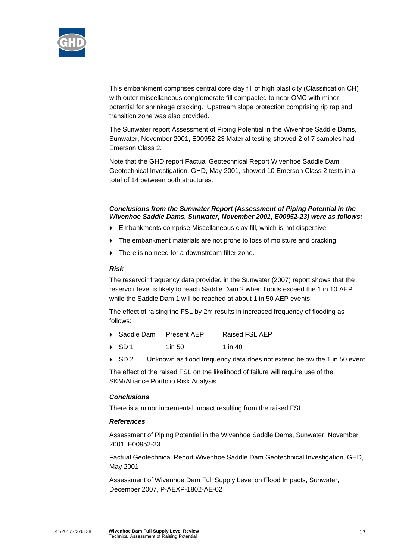

This embankment comprises central core clay fill of high plasticity (Classification CH) with outer miscellaneous conglomerate fill compacted to near OMC with minor potential for shrinkage cracking. Upstream slope protection comprising rip rap and transition zone was also provided.

The Sunwater report Assessment of Piping Potential in the Wivenhoe Saddle Dams, Sunwater, November 2001, E00952-23 Material testing showed 2 of 7 samples had Emerson Class 2.

Note that the GHD report Factual Geotechnical Report Wivenhoe Saddle Dam Geotechnical Investigation, GHD, May 2001, showed 10 Emerson Class 2 tests in a total of 14 between both structures.

### *Conclusions from the Sunwater Report (Assessment of Piping Potential in the Wivenhoe Saddle Dams, Sunwater, November 2001, E00952-23) were as follows:*

- **Embankments comprise Miscellaneous clay fill, which is not dispersive**
- The embankment materials are not prone to loss of moisture and cracking
- There is no need for a downstream filter zone.

#### *Risk*

The reservoir frequency data provided in the Sunwater (2007) report shows that the reservoir level is likely to reach Saddle Dam 2 when floods exceed the 1 in 10 AEP while the Saddle Dam 1 will be reached at about 1 in 50 AEP events.

The effect of raising the FSL by 2m results in increased frequency of flooding as follows:

- Saddle Dam Present AEP Raised FSL AEP
- SD 1 1in 50 1 in 40
- SD 2 Unknown as flood frequency data does not extend below the 1 in 50 event

The effect of the raised FSL on the likelihood of failure will require use of the SKM/Alliance Portfolio Risk Analysis.

#### *Conclusions*

There is a minor incremental impact resulting from the raised FSL.

#### *References*

Assessment of Piping Potential in the Wivenhoe Saddle Dams, Sunwater, November 2001, E00952-23

Factual Geotechnical Report Wivenhoe Saddle Dam Geotechnical Investigation, GHD, May 2001

Assessment of Wivenhoe Dam Full Supply Level on Flood Impacts, Sunwater, December 2007, P-AEXP-1802-AE-02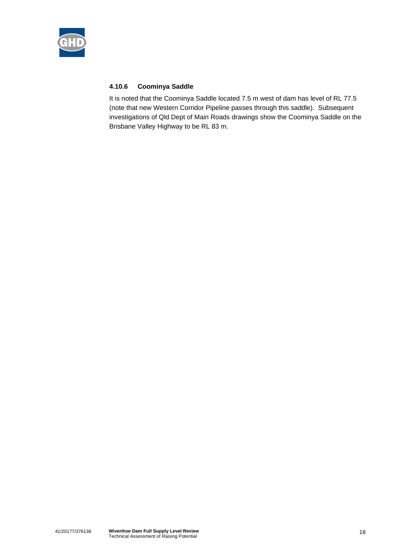

## **4.10.6 Coominya Saddle**

It is noted that the Coominya Saddle located 7.5 m west of dam has level of RL 77.5 (note that new Western Corridor Pipeline passes through this saddle). Subsequent investigations of Qld Dept of Main Roads drawings show the Coominya Saddle on the Brisbane Valley Highway to be RL 83 m.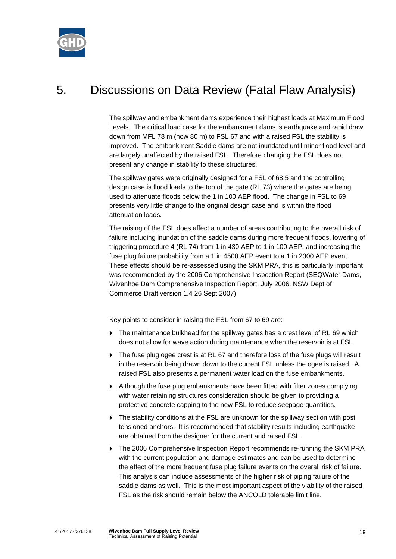

# 5. Discussions on Data Review (Fatal Flaw Analysis)

The spillway and embankment dams experience their highest loads at Maximum Flood Levels. The critical load case for the embankment dams is earthquake and rapid draw down from MFL 78 m (now 80 m) to FSL 67 and with a raised FSL the stability is improved. The embankment Saddle dams are not inundated until minor flood level and are largely unaffected by the raised FSL. Therefore changing the FSL does not present any change in stability to these structures.

The spillway gates were originally designed for a FSL of 68.5 and the controlling design case is flood loads to the top of the gate (RL 73) where the gates are being used to attenuate floods below the 1 in 100 AEP flood. The change in FSL to 69 presents very little change to the original design case and is within the flood attenuation loads.

The raising of the FSL does affect a number of areas contributing to the overall risk of failure including inundation of the saddle dams during more frequent floods, lowering of triggering procedure 4 (RL 74) from 1 in 430 AEP to 1 in 100 AEP, and increasing the fuse plug failure probability from a 1 in 4500 AEP event to a 1 in 2300 AEP event. These effects should be re-assessed using the SKM PRA, this is particularly important was recommended by the 2006 Comprehensive Inspection Report (SEQWater Dams, Wivenhoe Dam Comprehensive Inspection Report, July 2006, NSW Dept of Commerce Draft version 1.4 26 Sept 2007)

Key points to consider in raising the FSL from 67 to 69 are:

- The maintenance bulkhead for the spillway gates has a crest level of RL 69 which does not allow for wave action during maintenance when the reservoir is at FSL.
- The fuse plug ogee crest is at RL 67 and therefore loss of the fuse plugs will result in the reservoir being drawn down to the current FSL unless the ogee is raised. A raised FSL also presents a permanent water load on the fuse embankments.
- **Although the fuse plug embankments have been fitted with filter zones complying** with water retaining structures consideration should be given to providing a protective concrete capping to the new FSL to reduce seepage quantities.
- The stability conditions at the FSL are unknown for the spillway section with post tensioned anchors. It is recommended that stability results including earthquake are obtained from the designer for the current and raised FSL.
- The 2006 Comprehensive Inspection Report recommends re-running the SKM PRA with the current population and damage estimates and can be used to determine the effect of the more frequent fuse plug failure events on the overall risk of failure. This analysis can include assessments of the higher risk of piping failure of the saddle dams as well. This is the most important aspect of the viability of the raised FSL as the risk should remain below the ANCOLD tolerable limit line.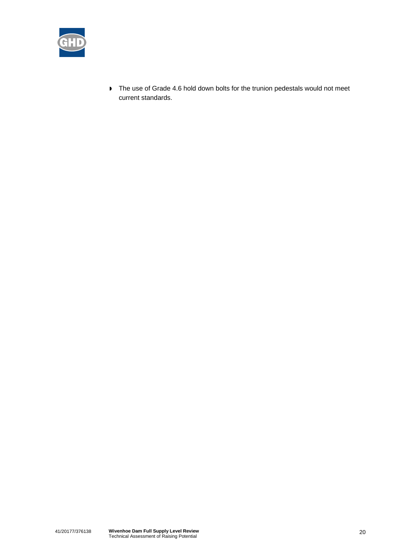

 $\triangleright$  The use of Grade 4.6 hold down bolts for the trunion pedestals would not meet current standards.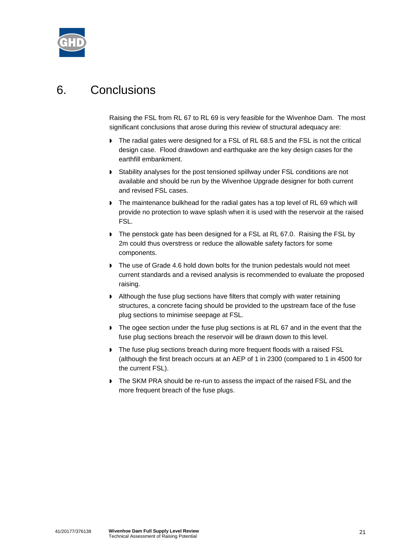

# 6. Conclusions

Raising the FSL from RL 67 to RL 69 is very feasible for the Wivenhoe Dam. The most significant conclusions that arose during this review of structural adequacy are:

- The radial gates were designed for a FSL of RL 68.5 and the FSL is not the critical design case. Flood drawdown and earthquake are the key design cases for the earthfill embankment.
- Stability analyses for the post tensioned spillway under FSL conditions are not available and should be run by the Wivenhoe Upgrade designer for both current and revised FSL cases.
- The maintenance bulkhead for the radial gates has a top level of RL 69 which will provide no protection to wave splash when it is used with the reservoir at the raised FSL.
- The penstock gate has been designed for a FSL at RL 67.0. Raising the FSL by 2m could thus overstress or reduce the allowable safety factors for some components.
- The use of Grade 4.6 hold down bolts for the trunion pedestals would not meet current standards and a revised analysis is recommended to evaluate the proposed raising.
- Although the fuse plug sections have filters that comply with water retaining structures, a concrete facing should be provided to the upstream face of the fuse plug sections to minimise seepage at FSL.
- The ogee section under the fuse plug sections is at RL 67 and in the event that the fuse plug sections breach the reservoir will be drawn down to this level.
- The fuse plug sections breach during more frequent floods with a raised FSL (although the first breach occurs at an AEP of 1 in 2300 (compared to 1 in 4500 for the current FSL).
- The SKM PRA should be re-run to assess the impact of the raised FSL and the more frequent breach of the fuse plugs.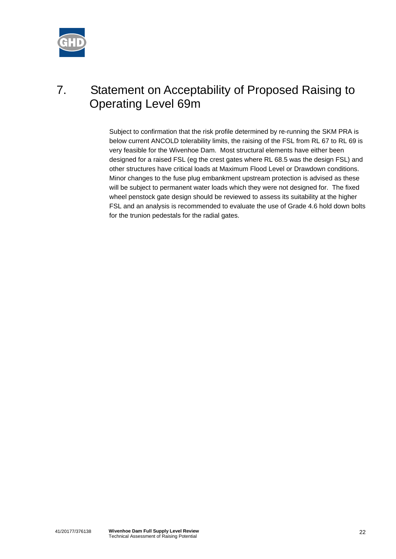

# 7. Statement on Acceptability of Proposed Raising to Operating Level 69m

Subject to confirmation that the risk profile determined by re-running the SKM PRA is below current ANCOLD tolerability limits, the raising of the FSL from RL 67 to RL 69 is very feasible for the Wivenhoe Dam. Most structural elements have either been designed for a raised FSL (eg the crest gates where RL 68.5 was the design FSL) and other structures have critical loads at Maximum Flood Level or Drawdown conditions. Minor changes to the fuse plug embankment upstream protection is advised as these will be subject to permanent water loads which they were not designed for. The fixed wheel penstock gate design should be reviewed to assess its suitability at the higher FSL and an analysis is recommended to evaluate the use of Grade 4.6 hold down bolts for the trunion pedestals for the radial gates.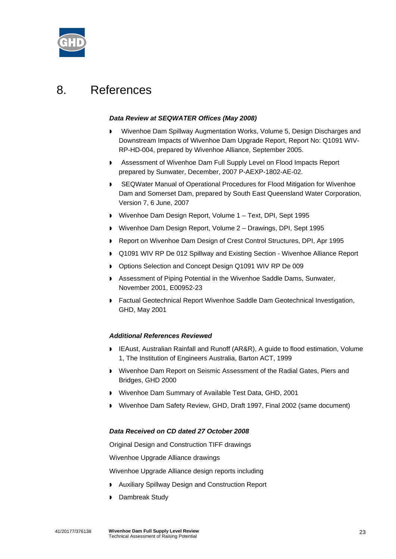

## 8. References

#### *Data Review at SEQWATER Offices (May 2008)*

- Wivenhoe Dam Spillway Augmentation Works, Volume 5, Design Discharges and Downstream Impacts of Wivenhoe Dam Upgrade Report, Report No: Q1091 WIV-RP-HD-004, prepared by Wivenhoe Alliance, September 2005.
- **Assessment of Wivenhoe Dam Full Supply Level on Flood Impacts Report** prepared by Sunwater, December, 2007 P-AEXP-1802-AE-02.
- SEQWater Manual of Operational Procedures for Flood Mitigation for Wivenhoe Dam and Somerset Dam, prepared by South East Queensland Water Corporation, Version 7, 6 June, 2007
- Wivenhoe Dam Design Report, Volume 1 Text, DPI, Sept 1995
- Wivenhoe Dam Design Report, Volume 2 Drawings, DPI, Sept 1995
- Report on Wivenhoe Dam Design of Crest Control Structures, DPI, Apr 1995
- Q1091 WIV RP De 012 Spillway and Existing Section Wivenhoe Alliance Report
- Options Selection and Concept Design Q1091 WIV RP De 009
- Assessment of Piping Potential in the Wivenhoe Saddle Dams, Sunwater, November 2001, E00952-23
- Factual Geotechnical Report Wivenhoe Saddle Dam Geotechnical Investigation, GHD, May 2001

#### *Additional References Reviewed*

- **IFAust, Australian Rainfall and Runoff (AR&R), A guide to flood estimation, Volume** 1, The Institution of Engineers Australia, Barton ACT, 1999
- Wivenhoe Dam Report on Seismic Assessment of the Radial Gates, Piers and Bridges, GHD 2000
- Wivenhoe Dam Summary of Available Test Data, GHD, 2001
- Wivenhoe Dam Safety Review, GHD, Draft 1997, Final 2002 (same document)

#### *Data Received on CD dated 27 October 2008*

Original Design and Construction TIFF drawings

Wivenhoe Upgrade Alliance drawings

Wivenhoe Upgrade Alliance design reports including

- Auxiliary Spillway Design and Construction Report
- Dambreak Study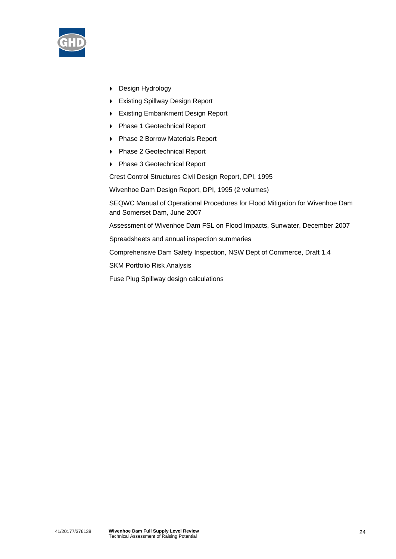

- **Design Hydrology**
- **Existing Spillway Design Report**
- **Existing Embankment Design Report**
- **Phase 1 Geotechnical Report**
- **Phase 2 Borrow Materials Report**
- ▶ Phase 2 Geotechnical Report
- **Phase 3 Geotechnical Report**

Crest Control Structures Civil Design Report, DPI, 1995

Wivenhoe Dam Design Report, DPI, 1995 (2 volumes)

SEQWC Manual of Operational Procedures for Flood Mitigation for Wivenhoe Dam and Somerset Dam, June 2007

Assessment of Wivenhoe Dam FSL on Flood Impacts, Sunwater, December 2007

Spreadsheets and annual inspection summaries

Comprehensive Dam Safety Inspection, NSW Dept of Commerce, Draft 1.4

SKM Portfolio Risk Analysis

Fuse Plug Spillway design calculations